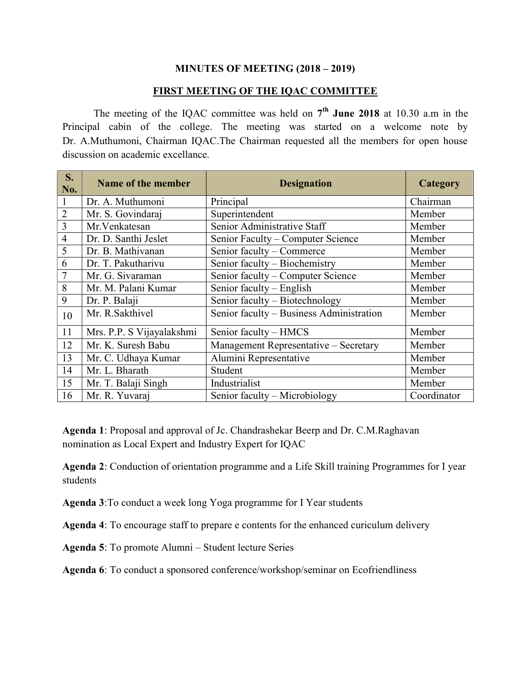#### MINUTES OF MEETING (2018 – 2019)

#### FIRST MEETING OF THE IQAC COMMITTEE

The meeting of the IQAC committee was held on  $7<sup>th</sup>$  June 2018 at 10.30 a.m in the Principal cabin of the college. The meeting was started on a welcome note by Dr. A.Muthumoni, Chairman IQAC.The Chairman requested all the members for open house discussion on academic excellance.

| S.<br>No.      | Name of the member        | <b>Designation</b>                       | Category    |
|----------------|---------------------------|------------------------------------------|-------------|
| 1              | Dr. A. Muthumoni          | Principal                                | Chairman    |
| $\overline{2}$ | Mr. S. Govindaraj         | Superintendent                           | Member      |
| 3              | Mr. Venkatesan            | Senior Administrative Staff              | Member      |
| $\overline{4}$ | Dr. D. Santhi Jeslet      | Senior Faculty – Computer Science        | Member      |
| 5              | Dr. B. Mathivanan         | Senior faculty - Commerce                | Member      |
| 6              | Dr. T. Pakutharivu        | Senior faculty - Biochemistry            | Member      |
|                | Mr. G. Sivaraman          | Senior faculty – Computer Science        | Member      |
| 8              | Mr. M. Palani Kumar       | Senior faculty - English                 | Member      |
| 9              | Dr. P. Balaji             | Senior faculty - Biotechnology           | Member      |
| 10             | Mr. R.Sakthivel           | Senior faculty - Business Administration | Member      |
| 11             | Mrs. P.P. S Vijayalakshmi | Senior faculty - HMCS                    | Member      |
| 12             | Mr. K. Suresh Babu        | Management Representative - Secretary    | Member      |
| 13             | Mr. C. Udhaya Kumar       | Alumini Representative                   | Member      |
| 14             | Mr. L. Bharath            | Student                                  | Member      |
| 15             | Mr. T. Balaji Singh       | Industrialist                            | Member      |
| 16             | Mr. R. Yuvaraj            | Senior faculty - Microbiology            | Coordinator |

Agenda 1: Proposal and approval of Jc. Chandrashekar Beerp and Dr. C.M.Raghavan nomination as Local Expert and Industry Expert for IQAC

Agenda 2: Conduction of orientation programme and a Life Skill training Programmes for I year students

Agenda 3:To conduct a week long Yoga programme for I Year students

Agenda 4: To encourage staff to prepare e contents for the enhanced curiculum delivery

Agenda 5: To promote Alumni – Student lecture Series

Agenda 6: To conduct a sponsored conference/workshop/seminar on Ecofriendliness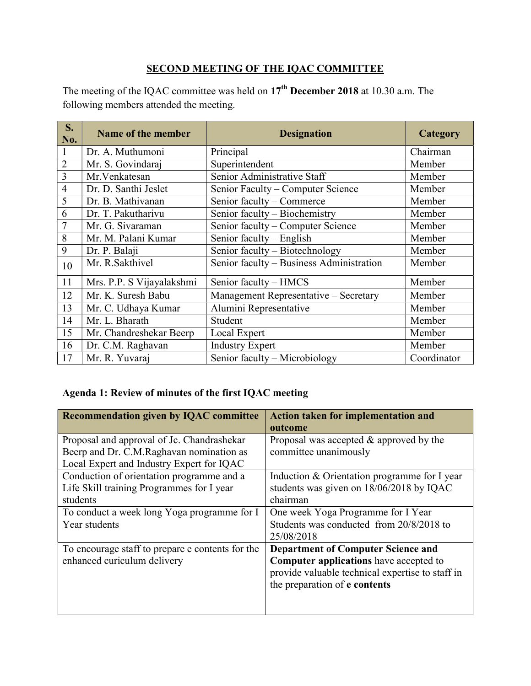## SECOND MEETING OF THE IQAC COMMITTEE

The meeting of the IQAC committee was held on  $17<sup>th</sup>$  December 2018 at 10.30 a.m. The following members attended the meeting.

| S.<br>No.      | Name of the member        | <b>Designation</b>                       | Category    |
|----------------|---------------------------|------------------------------------------|-------------|
|                | Dr. A. Muthumoni          | Principal                                | Chairman    |
| $\overline{2}$ | Mr. S. Govindaraj         | Superintendent                           | Member      |
| 3              | Mr.Venkatesan             | Senior Administrative Staff              | Member      |
| $\overline{4}$ | Dr. D. Santhi Jeslet      | Senior Faculty - Computer Science        | Member      |
| 5              | Dr. B. Mathivanan         | Senior faculty - Commerce                | Member      |
| 6              | Dr. T. Pakutharivu        | Senior faculty - Biochemistry            | Member      |
| 7              | Mr. G. Sivaraman          | Senior faculty – Computer Science        | Member      |
| 8              | Mr. M. Palani Kumar       | Senior faculty – English                 | Member      |
| 9              | Dr. P. Balaji             | Senior faculty - Biotechnology           | Member      |
| 10             | Mr. R.Sakthivel           | Senior faculty - Business Administration | Member      |
| 11             | Mrs. P.P. S Vijayalakshmi | Senior faculty - HMCS                    | Member      |
| 12             | Mr. K. Suresh Babu        | Management Representative - Secretary    | Member      |
| 13             | Mr. C. Udhaya Kumar       | Alumini Representative                   | Member      |
| 14             | Mr. L. Bharath            | Student                                  | Member      |
| 15             | Mr. Chandreshekar Beerp   | Local Expert                             | Member      |
| 16             | Dr. C.M. Raghavan         | <b>Industry Expert</b>                   | Member      |
| 17             | Mr. R. Yuvaraj            | Senior faculty - Microbiology            | Coordinator |

# Agenda 1: Review of minutes of the first IQAC meeting

| <b>Recommendation given by IQAC committee</b>                                                                                       | <b>Action taken for implementation and</b><br>outcome                                                                                                                           |
|-------------------------------------------------------------------------------------------------------------------------------------|---------------------------------------------------------------------------------------------------------------------------------------------------------------------------------|
| Proposal and approval of Jc. Chandrashekar<br>Beerp and Dr. C.M.Raghavan nomination as<br>Local Expert and Industry Expert for IQAC | Proposal was accepted & approved by the<br>committee unanimously                                                                                                                |
| Conduction of orientation programme and a<br>Life Skill training Programmes for I year<br>students                                  | Induction & Orientation programme for I year<br>students was given on 18/06/2018 by IQAC<br>chairman                                                                            |
| To conduct a week long Yoga programme for I<br>Year students                                                                        | One week Yoga Programme for I Year<br>Students was conducted from 20/8/2018 to<br>25/08/2018                                                                                    |
| To encourage staff to prepare e contents for the<br>enhanced curiculum delivery                                                     | <b>Department of Computer Science and</b><br><b>Computer applications</b> have accepted to<br>provide valuable technical expertise to staff in<br>the preparation of e contents |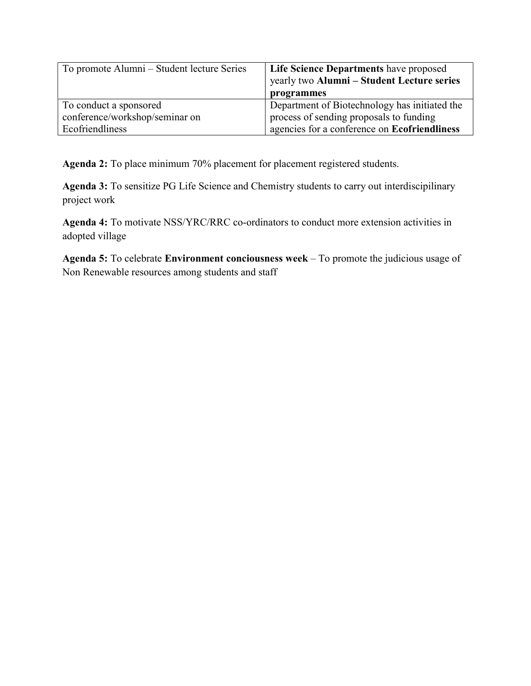| To promote Alumni – Student lecture Series | Life Science Departments have proposed        |
|--------------------------------------------|-----------------------------------------------|
|                                            | yearly two Alumni – Student Lecture series    |
|                                            | programmes                                    |
| To conduct a sponsored                     | Department of Biotechnology has initiated the |
| conference/workshop/seminar on             | process of sending proposals to funding       |
| Ecofriendliness                            | agencies for a conference on Ecofriendliness  |

Agenda 2: To place minimum 70% placement for placement registered students.

Agenda 3: To sensitize PG Life Science and Chemistry students to carry out interdiscipilinary project work

Agenda 4: To motivate NSS/YRC/RRC co-ordinators to conduct more extension activities in adopted village

Agenda 5: To celebrate Environment conciousness week – To promote the judicious usage of Non Renewable resources among students and staff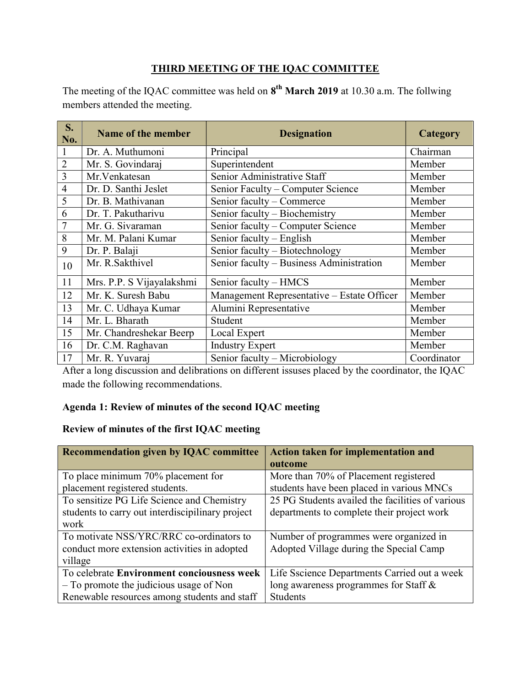## THIRD MEETING OF THE IQAC COMMITTEE

The meeting of the IQAC committee was held on  $8<sup>th</sup>$  March 2019 at 10.30 a.m. The follwing members attended the meeting.

| S.<br>No.      | Name of the member        | <b>Designation</b>                         | Category    |
|----------------|---------------------------|--------------------------------------------|-------------|
|                | Dr. A. Muthumoni          | Principal                                  | Chairman    |
| $\overline{2}$ | Mr. S. Govindaraj         | Superintendent                             | Member      |
| 3              | Mr.Venkatesan             | Senior Administrative Staff                | Member      |
| $\overline{4}$ | Dr. D. Santhi Jeslet      | Senior Faculty - Computer Science          | Member      |
| 5              | Dr. B. Mathivanan         | Senior faculty – Commerce                  | Member      |
| 6              | Dr. T. Pakutharivu        | Senior faculty - Biochemistry              | Member      |
| $\overline{7}$ | Mr. G. Sivaraman          | Senior faculty – Computer Science          | Member      |
| 8              | Mr. M. Palani Kumar       | Senior faculty - English                   | Member      |
| 9              | Dr. P. Balaji             | Senior faculty - Biotechnology             | Member      |
| 10             | Mr. R.Sakthivel           | Senior faculty - Business Administration   | Member      |
| 11             | Mrs. P.P. S Vijayalakshmi | Senior faculty - HMCS                      | Member      |
| 12             | Mr. K. Suresh Babu        | Management Representative - Estate Officer | Member      |
| 13             | Mr. C. Udhaya Kumar       | Alumini Representative                     | Member      |
| 14             | Mr. L. Bharath            | Student                                    | Member      |
| 15             | Mr. Chandreshekar Beerp   | Local Expert                               | Member      |
| 16             | Dr. C.M. Raghavan         | <b>Industry Expert</b>                     | Member      |
| 17             | Mr. R. Yuvaraj            | Senior faculty - Microbiology              | Coordinator |

After a long discussion and delibrations on different issuses placed by the coordinator, the IQAC made the following recommendations.

## Agenda 1: Review of minutes of the second IQAC meeting

## Review of minutes of the first IQAC meeting

| <b>Recommendation given by IQAC committee</b>    | Action taken for implementation and              |
|--------------------------------------------------|--------------------------------------------------|
|                                                  | outcome                                          |
| To place minimum 70% placement for               | More than 70% of Placement registered            |
| placement registered students.                   | students have been placed in various MNCs        |
| To sensitize PG Life Science and Chemistry       | 25 PG Students availed the facilities of various |
| students to carry out interdiscipilinary project | departments to complete their project work       |
| work                                             |                                                  |
| To motivate NSS/YRC/RRC co-ordinators to         | Number of programmes were organized in           |
| conduct more extension activities in adopted     | Adopted Village during the Special Camp          |
| village                                          |                                                  |
| To celebrate Environment conciousness week       | Life Sscience Departments Carried out a week     |
| $-$ To promote the judicious usage of Non        | long awareness programmes for Staff &            |
| Renewable resources among students and staff     | <b>Students</b>                                  |